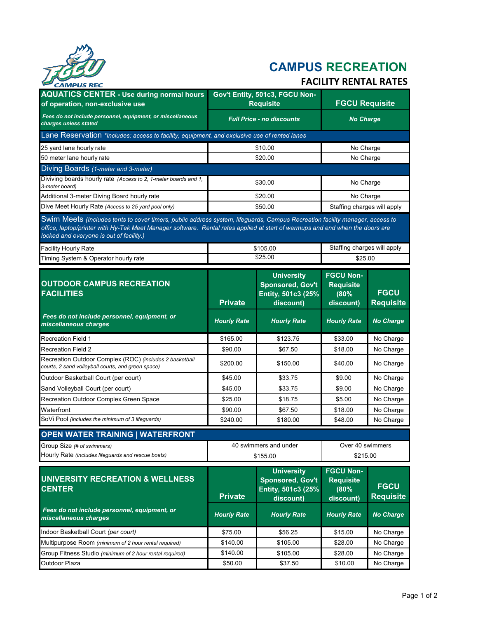

# **CAMPUS RECREATION**

# **FACILITY RENTAL RATES**

| CAMPUS KEC                                                                                                                                                                                                                                                                                                |                                  |                                                                                 |                                                           |                                 |  |  |
|-----------------------------------------------------------------------------------------------------------------------------------------------------------------------------------------------------------------------------------------------------------------------------------------------------------|----------------------------------|---------------------------------------------------------------------------------|-----------------------------------------------------------|---------------------------------|--|--|
| <b>AQUATICS CENTER - Use during normal hours</b>                                                                                                                                                                                                                                                          | Gov't Entity, 501c3, FGCU Non-   |                                                                                 |                                                           |                                 |  |  |
| of operation, non-exclusive use                                                                                                                                                                                                                                                                           |                                  | <b>Requisite</b>                                                                | <b>FGCU Requisite</b>                                     |                                 |  |  |
| Fees do not include personnel, equipment, or miscellaneous<br>charges unless stated                                                                                                                                                                                                                       | <b>Full Price - no discounts</b> |                                                                                 | <b>No Charge</b>                                          |                                 |  |  |
| Lane Reservation *Includes: access to facility, equipment, and exclusive use of rented lanes                                                                                                                                                                                                              |                                  |                                                                                 |                                                           |                                 |  |  |
| 25 yard lane hourly rate                                                                                                                                                                                                                                                                                  |                                  | \$10.00                                                                         | No Charge                                                 |                                 |  |  |
| 50 meter lane hourly rate                                                                                                                                                                                                                                                                                 | \$20.00                          |                                                                                 | No Charge                                                 |                                 |  |  |
| Diving Boards (1-meter and 3-meter)                                                                                                                                                                                                                                                                       |                                  |                                                                                 |                                                           |                                 |  |  |
| Diviving boards hourly rate (Access to 2, 1-meter boards and 1,<br>3-meter board)                                                                                                                                                                                                                         | \$30.00                          |                                                                                 | No Charge                                                 |                                 |  |  |
| Additional 3-meter Diving Board hourly rate                                                                                                                                                                                                                                                               |                                  | \$20.00                                                                         |                                                           | No Charge                       |  |  |
| Dive Meet Hourly Rate (Access to 25 yard pool only)                                                                                                                                                                                                                                                       |                                  | \$50.00                                                                         | Staffing charges will apply                               |                                 |  |  |
| Swim Meets (Includes tents to cover timers, public address system, lifeguards, Campus Recreation facility manager, access to<br>office, laptop/printer with Hy-Tek Meet Manager software. Rental rates applied at start of warmups and end when the doors are<br>locked and everyone is out of facility.) |                                  |                                                                                 |                                                           |                                 |  |  |
| <b>Facility Hourly Rate</b>                                                                                                                                                                                                                                                                               |                                  | \$105.00                                                                        | Staffing charges will apply                               |                                 |  |  |
| Timing System & Operator hourly rate                                                                                                                                                                                                                                                                      |                                  | \$25.00                                                                         | \$25.00                                                   |                                 |  |  |
| <b>OUTDOOR CAMPUS RECREATION</b><br><b>FACILITIES</b>                                                                                                                                                                                                                                                     | <b>Private</b>                   | <b>University</b><br><b>Sponsored, Gov't</b><br>Entity, 501c3 (25%<br>discount) | <b>FGCU Non-</b><br><b>Requisite</b><br>(80%<br>discount) | <b>FGCU</b><br><b>Requisite</b> |  |  |
| Fees do not include personnel, equipment, or<br>miscellaneous charges                                                                                                                                                                                                                                     | <b>Hourly Rate</b>               | <b>Hourly Rate</b>                                                              | <b>Hourly Rate</b>                                        | <b>No Charge</b>                |  |  |
| Recreation Field 1                                                                                                                                                                                                                                                                                        | \$165.00                         | \$123.75                                                                        | \$33.00                                                   | No Charge                       |  |  |
| Recreation Field 2                                                                                                                                                                                                                                                                                        | \$90.00                          | \$67.50                                                                         | \$18.00                                                   | No Charge                       |  |  |
| Recreation Outdoor Complex (ROC) (includes 2 basketball<br>courts, 2 sand volleyball courts, and green space)                                                                                                                                                                                             | \$200.00                         | \$150.00                                                                        | \$40.00                                                   | No Charge                       |  |  |
| Outdoor Basketball Court (per court)                                                                                                                                                                                                                                                                      | \$45.00                          | \$33.75                                                                         | \$9.00                                                    | No Charge                       |  |  |
| Sand Volleyball Court (per court)                                                                                                                                                                                                                                                                         | \$45.00                          | \$33.75                                                                         | \$9.00                                                    | No Charge                       |  |  |
| Recreation Outdoor Complex Green Space                                                                                                                                                                                                                                                                    | \$25.00                          | \$18.75                                                                         | \$5.00                                                    | No Charge                       |  |  |
| Waterfront                                                                                                                                                                                                                                                                                                | \$90.00                          | \$67.50                                                                         | \$18.00                                                   | No Charge                       |  |  |
| SoVi Pool (includes the minimum of 3 lifeguards)                                                                                                                                                                                                                                                          | \$240.00                         | \$180.00                                                                        | \$48.00                                                   | No Charge                       |  |  |
| <b>OPEN WATER TRAINING   WATERFRONT</b>                                                                                                                                                                                                                                                                   |                                  |                                                                                 |                                                           |                                 |  |  |
| Group Size (# of swimmers)                                                                                                                                                                                                                                                                                |                                  | 40 swimmers and under                                                           | Over 40 swimmers                                          |                                 |  |  |
| Hourly Rate (includes lifeguards and rescue boats)                                                                                                                                                                                                                                                        |                                  | \$155.00                                                                        |                                                           | \$215.00                        |  |  |
| UNIVERSITY RECREATION & WELLNESS<br><b>CENTER</b>                                                                                                                                                                                                                                                         | <b>Private</b>                   | <b>University</b><br><b>Sponsored, Gov't</b><br>Entity, 501c3 (25%<br>discount) | <b>FGCU Non-</b><br><b>Requisite</b><br>(80%<br>discount) | <b>FGCU</b><br><b>Requisite</b> |  |  |
| Fees do not include personnel, equipment, or<br>miscellaneous charges                                                                                                                                                                                                                                     | <b>Hourly Rate</b>               | <b>Hourly Rate</b>                                                              | <b>Hourly Rate</b>                                        | <b>No Charge</b>                |  |  |
| Indoor Basketball Court (per court)                                                                                                                                                                                                                                                                       | \$75.00                          | \$56.25                                                                         | \$15.00                                                   | No Charge                       |  |  |
| Multipurpose Room (minimum of 2 hour rental required)                                                                                                                                                                                                                                                     | \$140.00                         | \$105.00                                                                        | \$28.00                                                   | No Charge                       |  |  |
| Group Fitness Studio (minimum of 2 hour rental required)                                                                                                                                                                                                                                                  | \$140.00                         | \$105.00                                                                        | \$28.00                                                   | No Charge                       |  |  |
| Outdoor Plaza                                                                                                                                                                                                                                                                                             | \$50.00                          | \$37.50                                                                         | \$10.00                                                   | No Charge                       |  |  |